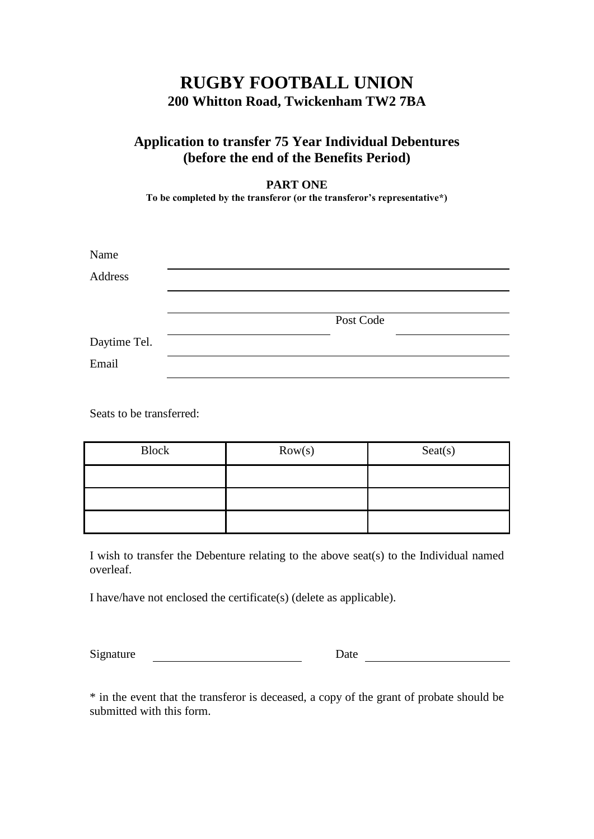## **RUGBY FOOTBALL UNION 200 Whitton Road, Twickenham TW2 7BA**

## **Application to transfer 75 Year Individual Debentures (before the end of the Benefits Period)**

**PART ONE**

**To be completed by the transferor (or the transferor's representative\*)**

| Name         |           |
|--------------|-----------|
| Address      |           |
|              |           |
|              | Post Code |
| Daytime Tel. |           |
| Email        |           |

Seats to be transferred:

| <b>Block</b> | Row(s) | $S$ eat $(s)$ |
|--------------|--------|---------------|
|              |        |               |
|              |        |               |
|              |        |               |

I wish to transfer the Debenture relating to the above seat(s) to the Individual named overleaf.

I have/have not enclosed the certificate(s) (delete as applicable).

Signature Date Date Date

\* in the event that the transferor is deceased, a copy of the grant of probate should be submitted with this form.